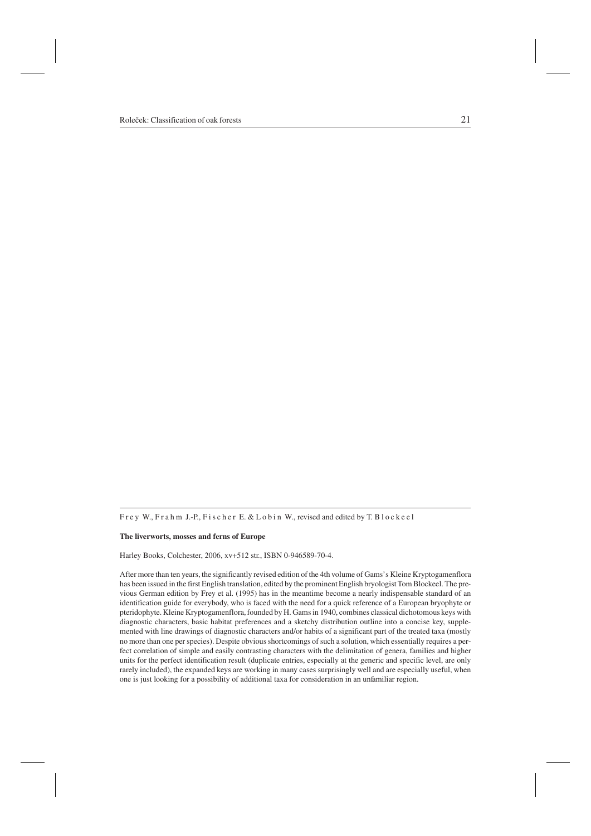Frey W., Frahm J.-P., Fischer E. & Lobin W., revised and edited by T. Blockeel

## **The liverworts, mosses and ferns of Europe**

Harley Books, Colchester, 2006, xv+512 str., ISBN 0-946589-70-4.

After more than ten years, the significantly revised edition of the 4th volume of Gams's Kleine Kryptogamenflora has been issued in the first English translation, edited by the prominent English bryologist Tom Blockeel. The previous German edition by Frey et al. (1995) has in the meantime become a nearly indispensable standard of an identification guide for everybody, who is faced with the need for a quick reference of a European bryophyte or pteridophyte. Kleine Kryptogamenflora, founded by H. Gams in 1940, combines classical dichotomous keys with diagnostic characters, basic habitat preferences and a sketchy distribution outline into a concise key, supplemented with line drawings of diagnostic characters and/or habits of a significant part of the treated taxa (mostly no more than one per species). Despite obvious shortcomings of such a solution, which essentially requires a perfect correlation of simple and easily contrasting characters with the delimitation of genera, families and higher units for the perfect identification result (duplicate entries, especially at the generic and specific level, are only rarely included), the expanded keys are working in many cases surprisingly well and are especially useful, when one is just looking for a possibility of additional taxa for consideration in an unfamiliar region.